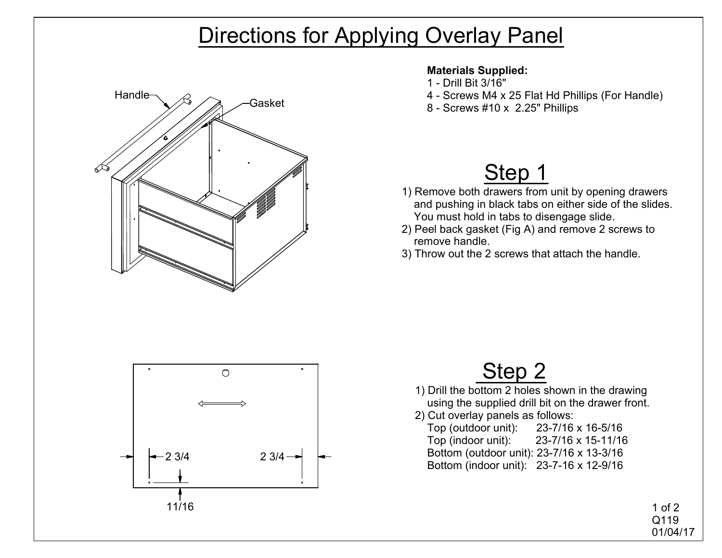### Directions for Applying Overlay Panel



#### **Materials Supplied:**

- 1 Drill Bit 3/16"
- 4 Screws M4 x 25 Flat Hd Phillips (For Handle)
- $\frac{1}{8}$  Screws #10 x 2.25" Phillips Gasket

# Step 1

- 1) Remove both drawers from unit by opening drawers and pushing in black tabs on either side of the slides. You must hold in tabs to disengage slide.
- 2) Peel back gasket (Fig A) and remove 2 screws to remove handle.
- 3) Throw out the 2 screws that attach the handle.



### Step 2

- 1) Drill the bottom 2 holes shown in the drawing using the supplied drill bit on the drawer front.
- 2) Cut overlay panels as follows:
	- Top (outdoor unit): 23-7/16 x 16-5/16 Top (indoor unit): 23-7/16 x 15-11/16 Bottom (outdoor unit): 23-7/16 x 13-3/16 Bottom (indoor unit): 23-7-16 x 12-9/16